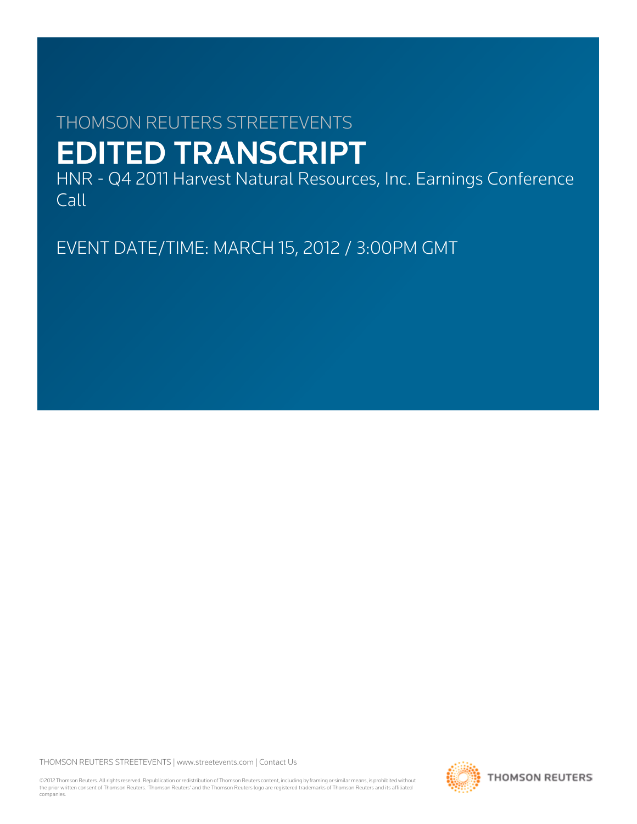# THOMSON REUTERS STREETEVENTS EDITED TRANSCRIPT

HNR - Q4 2011 Harvest Natural Resources, Inc. Earnings Conference Call

EVENT DATE/TIME: MARCH 15, 2012 / 3:00PM GMT

THOMSON REUTERS STREETEVENTS | [www.streetevents.com](http://www.streetevents.com) | [Contact Us](http://www010.streetevents.com/contact.asp)

©2012 Thomson Reuters. All rights reserved. Republication or redistribution of Thomson Reuters content, including by framing or similar means, is prohibited without the prior written consent of Thomson Reuters. 'Thomson Reuters' and the Thomson Reuters logo are registered trademarks of Thomson Reuters and its affiliated companies.

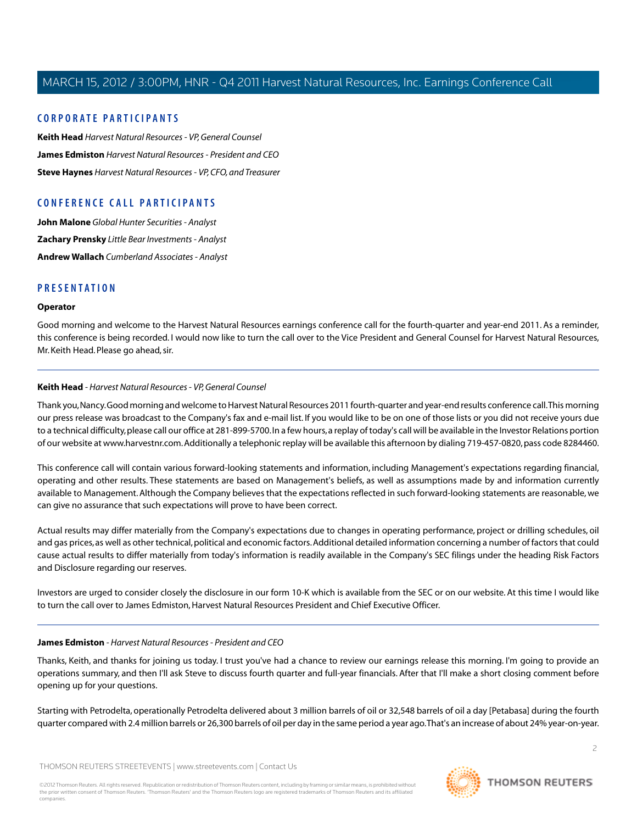### **C ORPORA TE P A R TICIP ANTS**

**[Keith Head](#page-1-0)** *Harvest Natural Resources - VP, General Counsel* **[James Edmiston](#page-1-1)** *Harvest Natural Resources - President and CEO* **[Steve Haynes](#page-3-0)** *Harvest Natural Resources - VP, CFO, and Treasurer*

### **C ONFERENCE C ALL P A R TICIP ANTS**

**[John Malone](#page-4-0)** *Global Hunter Securities - Analyst* **[Zachary Prensky](#page-5-0)** *Little Bear Investments - Analyst* **[Andrew Wallach](#page-7-0)** *Cumberland Associates - Analyst*

### **PRESENTATION**

### **Operator**

<span id="page-1-0"></span>Good morning and welcome to the Harvest Natural Resources earnings conference call for the fourth-quarter and year-end 2011. As a reminder, this conference is being recorded. I would now like to turn the call over to the Vice President and General Counsel for Harvest Natural Resources, Mr. Keith Head. Please go ahead, sir.

### **Keith Head** *- Harvest Natural Resources - VP, General Counsel*

Thank you, Nancy. Good morning and welcome to Harvest Natural Resources 2011 fourth-quarter and year-end results conference call.This morning our press release was broadcast to the Company's fax and e-mail list. If you would like to be on one of those lists or you did not receive yours due to a technical difficulty, please call our office at 281-899-5700. In a few hours, a replay of today's call will be available in the Investor Relations portion of our website at www.harvestnr.com. Additionally a telephonic replay will be available this afternoon by dialing 719-457-0820, pass code 8284460.

This conference call will contain various forward-looking statements and information, including Management's expectations regarding financial, operating and other results. These statements are based on Management's beliefs, as well as assumptions made by and information currently available to Management. Although the Company believes that the expectations reflected in such forward-looking statements are reasonable, we can give no assurance that such expectations will prove to have been correct.

Actual results may differ materially from the Company's expectations due to changes in operating performance, project or drilling schedules, oil and gas prices, as well as other technical, political and economic factors. Additional detailed information concerning a number of factors that could cause actual results to differ materially from today's information is readily available in the Company's SEC filings under the heading Risk Factors and Disclosure regarding our reserves.

<span id="page-1-1"></span>Investors are urged to consider closely the disclosure in our form 10-K which is available from the SEC or on our website. At this time I would like to turn the call over to James Edmiston, Harvest Natural Resources President and Chief Executive Officer.

### **James Edmiston** *- Harvest Natural Resources - President and CEO*

Thanks, Keith, and thanks for joining us today. I trust you've had a chance to review our earnings release this morning. I'm going to provide an operations summary, and then I'll ask Steve to discuss fourth quarter and full-year financials. After that I'll make a short closing comment before opening up for your questions.

Starting with Petrodelta, operationally Petrodelta delivered about 3 million barrels of oil or 32,548 barrels of oil a day [Petabasa] during the fourth quarter compared with 2.4 million barrels or 26,300 barrels of oil per day in the same period a year ago.That's an increase of about 24% year-on-year.

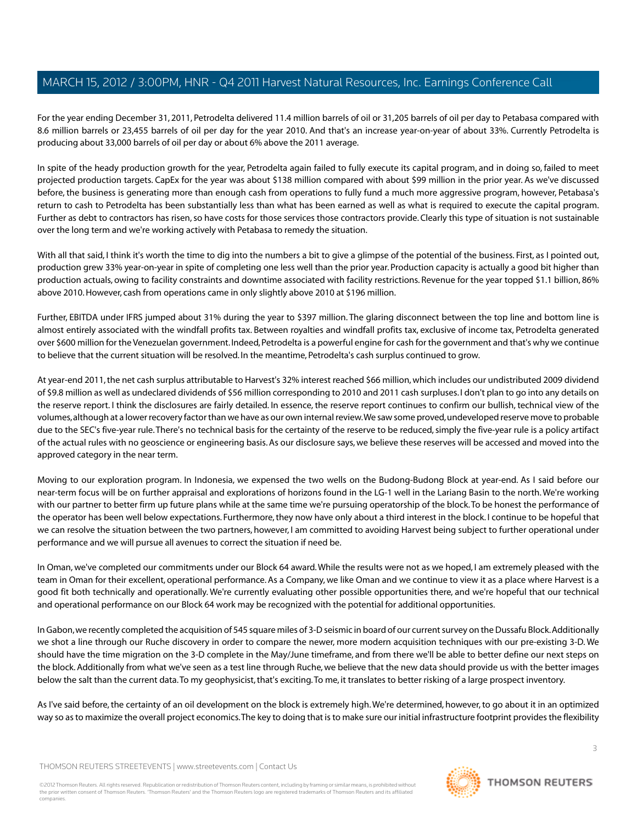For the year ending December 31, 2011, Petrodelta delivered 11.4 million barrels of oil or 31,205 barrels of oil per day to Petabasa compared with 8.6 million barrels or 23,455 barrels of oil per day for the year 2010. And that's an increase year-on-year of about 33%. Currently Petrodelta is producing about 33,000 barrels of oil per day or about 6% above the 2011 average.

In spite of the heady production growth for the year, Petrodelta again failed to fully execute its capital program, and in doing so, failed to meet projected production targets. CapEx for the year was about \$138 million compared with about \$99 million in the prior year. As we've discussed before, the business is generating more than enough cash from operations to fully fund a much more aggressive program, however, Petabasa's return to cash to Petrodelta has been substantially less than what has been earned as well as what is required to execute the capital program. Further as debt to contractors has risen, so have costs for those services those contractors provide. Clearly this type of situation is not sustainable over the long term and we're working actively with Petabasa to remedy the situation.

With all that said, I think it's worth the time to dig into the numbers a bit to give a glimpse of the potential of the business. First, as I pointed out, production grew 33% year-on-year in spite of completing one less well than the prior year. Production capacity is actually a good bit higher than production actuals, owing to facility constraints and downtime associated with facility restrictions. Revenue for the year topped \$1.1 billion, 86% above 2010. However, cash from operations came in only slightly above 2010 at \$196 million.

Further, EBITDA under IFRS jumped about 31% during the year to \$397 million. The glaring disconnect between the top line and bottom line is almost entirely associated with the windfall profits tax. Between royalties and windfall profits tax, exclusive of income tax, Petrodelta generated over \$600 million for the Venezuelan government. Indeed, Petrodelta is a powerful engine for cash for the government and that's why we continue to believe that the current situation will be resolved. In the meantime, Petrodelta's cash surplus continued to grow.

At year-end 2011, the net cash surplus attributable to Harvest's 32% interest reached \$66 million, which includes our undistributed 2009 dividend of \$9.8 million as well as undeclared dividends of \$56 million corresponding to 2010 and 2011 cash surpluses. I don't plan to go into any details on the reserve report. I think the disclosures are fairly detailed. In essence, the reserve report continues to confirm our bullish, technical view of the volumes, although at a lower recovery factor than we have as our own internal review.We saw some proved, undeveloped reserve move to probable due to the SEC's five-year rule.There's no technical basis for the certainty of the reserve to be reduced, simply the five-year rule is a policy artifact of the actual rules with no geoscience or engineering basis. As our disclosure says, we believe these reserves will be accessed and moved into the approved category in the near term.

Moving to our exploration program. In Indonesia, we expensed the two wells on the Budong-Budong Block at year-end. As I said before our near-term focus will be on further appraisal and explorations of horizons found in the LG-1 well in the Lariang Basin to the north.We're working with our partner to better firm up future plans while at the same time we're pursuing operatorship of the block. To be honest the performance of the operator has been well below expectations. Furthermore, they now have only about a third interest in the block. I continue to be hopeful that we can resolve the situation between the two partners, however, I am committed to avoiding Harvest being subject to further operational under performance and we will pursue all avenues to correct the situation if need be.

In Oman, we've completed our commitments under our Block 64 award.While the results were not as we hoped, I am extremely pleased with the team in Oman for their excellent, operational performance. As a Company, we like Oman and we continue to view it as a place where Harvest is a good fit both technically and operationally. We're currently evaluating other possible opportunities there, and we're hopeful that our technical and operational performance on our Block 64 work may be recognized with the potential for additional opportunities.

In Gabon, we recently completed the acquisition of 545 square miles of 3-D seismic in board of our current survey on the Dussafu Block. Additionally we shot a line through our Ruche discovery in order to compare the newer, more modern acquisition techniques with our pre-existing 3-D. We should have the time migration on the 3-D complete in the May/June timeframe, and from there we'll be able to better define our next steps on the block. Additionally from what we've seen as a test line through Ruche, we believe that the new data should provide us with the better images below the salt than the current data.To my geophysicist, that's exciting.To me, it translates to better risking of a large prospect inventory.

As I've said before, the certainty of an oil development on the block is extremely high.We're determined, however, to go about it in an optimized way so as to maximize the overall project economics.The key to doing that is to make sure our initial infrastructure footprint provides the flexibility

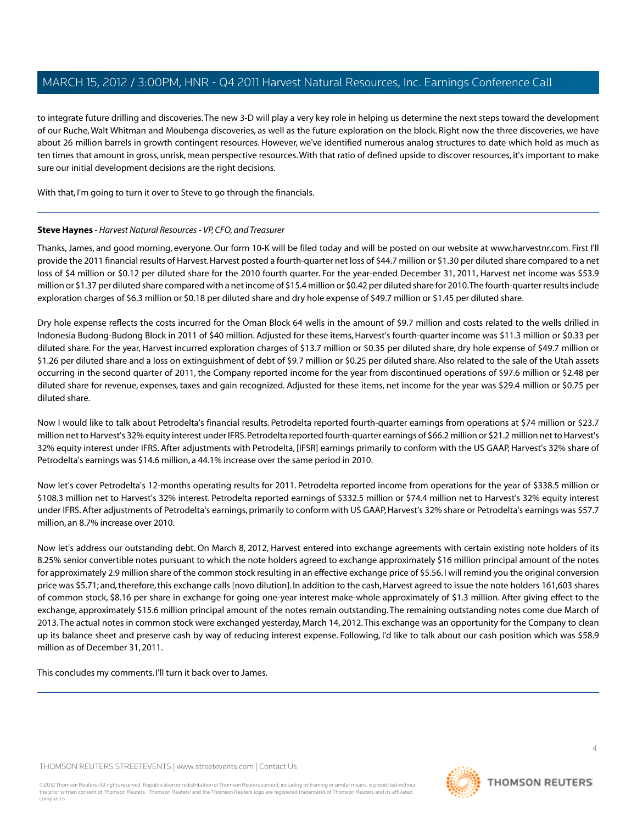to integrate future drilling and discoveries.The new 3-D will play a very key role in helping us determine the next steps toward the development of our Ruche, Walt Whitman and Moubenga discoveries, as well as the future exploration on the block. Right now the three discoveries, we have about 26 million barrels in growth contingent resources. However, we've identified numerous analog structures to date which hold as much as ten times that amount in gross, unrisk, mean perspective resources.With that ratio of defined upside to discover resources, it's important to make sure our initial development decisions are the right decisions.

<span id="page-3-0"></span>With that, I'm going to turn it over to Steve to go through the financials.

### **Steve Haynes** *- Harvest Natural Resources - VP, CFO, and Treasurer*

Thanks, James, and good morning, everyone. Our form 10-K will be filed today and will be posted on our website at www.harvestnr.com. First I'll provide the 2011 financial results of Harvest. Harvest posted a fourth-quarter net loss of \$44.7 million or \$1.30 per diluted share compared to a net loss of \$4 million or \$0.12 per diluted share for the 2010 fourth quarter. For the year-ended December 31, 2011, Harvest net income was \$53.9 million or \$1.37 per diluted share compared with a net income of \$15.4 million or \$0.42 per diluted share for 2010.The fourth-quarter results include exploration charges of \$6.3 million or \$0.18 per diluted share and dry hole expense of \$49.7 million or \$1.45 per diluted share.

Dry hole expense reflects the costs incurred for the Oman Block 64 wells in the amount of \$9.7 million and costs related to the wells drilled in Indonesia Budong-Budong Block in 2011 of \$40 million. Adjusted for these items, Harvest's fourth-quarter income was \$11.3 million or \$0.33 per diluted share. For the year, Harvest incurred exploration charges of \$13.7 million or \$0.35 per diluted share, dry hole expense of \$49.7 million or \$1.26 per diluted share and a loss on extinguishment of debt of \$9.7 million or \$0.25 per diluted share. Also related to the sale of the Utah assets occurring in the second quarter of 2011, the Company reported income for the year from discontinued operations of \$97.6 million or \$2.48 per diluted share for revenue, expenses, taxes and gain recognized. Adjusted for these items, net income for the year was \$29.4 million or \$0.75 per diluted share.

Now I would like to talk about Petrodelta's financial results. Petrodelta reported fourth-quarter earnings from operations at \$74 million or \$23.7 million net to Harvest's 32% equity interest under IFRS. Petrodelta reported fourth-quarter earnings of \$66.2 million or \$21.2 million net to Harvest's 32% equity interest under IFRS. After adjustments with Petrodelta, [IFSR] earnings primarily to conform with the US GAAP, Harvest's 32% share of Petrodelta's earnings was \$14.6 million, a 44.1% increase over the same period in 2010.

Now let's cover Petrodelta's 12-months operating results for 2011. Petrodelta reported income from operations for the year of \$338.5 million or \$108.3 million net to Harvest's 32% interest. Petrodelta reported earnings of \$332.5 million or \$74.4 million net to Harvest's 32% equity interest under IFRS. After adjustments of Petrodelta's earnings, primarily to conform with US GAAP, Harvest's 32% share or Petrodelta's earnings was \$57.7 million, an 8.7% increase over 2010.

Now let's address our outstanding debt. On March 8, 2012, Harvest entered into exchange agreements with certain existing note holders of its 8.25% senior convertible notes pursuant to which the note holders agreed to exchange approximately \$16 million principal amount of the notes for approximately 2.9 million share of the common stock resulting in an effective exchange price of \$5.56. I will remind you the original conversion price was \$5.71; and, therefore, this exchange calls [novo dilution]. In addition to the cash, Harvest agreed to issue the note holders 161,603 shares of common stock, \$8.16 per share in exchange for going one-year interest make-whole approximately of \$1.3 million. After giving effect to the exchange, approximately \$15.6 million principal amount of the notes remain outstanding. The remaining outstanding notes come due March of 2013.The actual notes in common stock were exchanged yesterday, March 14, 2012.This exchange was an opportunity for the Company to clean up its balance sheet and preserve cash by way of reducing interest expense. Following, I'd like to talk about our cash position which was \$58.9 million as of December 31, 2011.

This concludes my comments. I'll turn it back over to James.

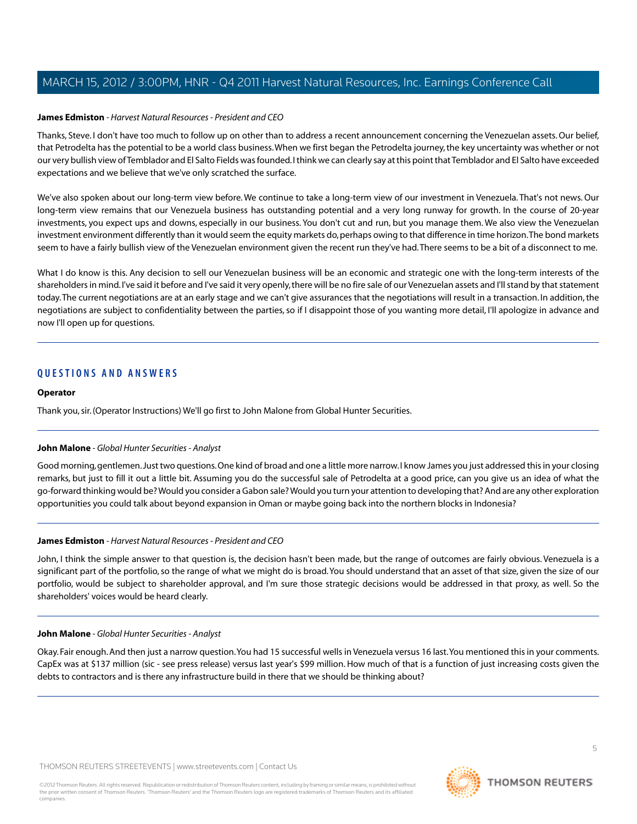### **James Edmiston** *- Harvest Natural Resources - President and CEO*

Thanks, Steve. I don't have too much to follow up on other than to address a recent announcement concerning the Venezuelan assets. Our belief, that Petrodelta has the potential to be a world class business.When we first began the Petrodelta journey, the key uncertainty was whether or not our very bullish view of Temblador and El Salto Fields was founded. I think we can clearly say at this point that Temblador and El Salto have exceeded expectations and we believe that we've only scratched the surface.

We've also spoken about our long-term view before. We continue to take a long-term view of our investment in Venezuela. That's not news. Our long-term view remains that our Venezuela business has outstanding potential and a very long runway for growth. In the course of 20-year investments, you expect ups and downs, especially in our business. You don't cut and run, but you manage them. We also view the Venezuelan investment environment differently than it would seem the equity markets do, perhaps owing to that difference in time horizon.The bond markets seem to have a fairly bullish view of the Venezuelan environment given the recent run they've had.There seems to be a bit of a disconnect to me.

What I do know is this. Any decision to sell our Venezuelan business will be an economic and strategic one with the long-term interests of the shareholders in mind. I've said it before and I've said it very openly, there will be no fire sale of our Venezuelan assets and I'll stand by that statement today.The current negotiations are at an early stage and we can't give assurances that the negotiations will result in a transaction. In addition, the negotiations are subject to confidentiality between the parties, so if I disappoint those of you wanting more detail, I'll apologize in advance and now I'll open up for questions.

### **QUESTIONS AND ANSWERS**

### **Operator**

<span id="page-4-0"></span>Thank you, sir. (Operator Instructions) We'll go first to John Malone from Global Hunter Securities.

### **John Malone** *- Global Hunter Securities - Analyst*

Good morning, gentlemen. Just two questions. One kind of broad and one a little more narrow. I know James you just addressed this in your closing remarks, but just to fill it out a little bit. Assuming you do the successful sale of Petrodelta at a good price, can you give us an idea of what the go-forward thinking would be? Would you consider a Gabon sale? Would you turn your attention to developing that? And are any other exploration opportunities you could talk about beyond expansion in Oman or maybe going back into the northern blocks in Indonesia?

### **James Edmiston** *- Harvest Natural Resources - President and CEO*

John, I think the simple answer to that question is, the decision hasn't been made, but the range of outcomes are fairly obvious. Venezuela is a significant part of the portfolio, so the range of what we might do is broad.You should understand that an asset of that size, given the size of our portfolio, would be subject to shareholder approval, and I'm sure those strategic decisions would be addressed in that proxy, as well. So the shareholders' voices would be heard clearly.

### **John Malone** *- Global Hunter Securities - Analyst*

Okay. Fair enough. And then just a narrow question.You had 15 successful wells in Venezuela versus 16 last.You mentioned this in your comments. CapEx was at \$137 million (sic - see press release) versus last year's \$99 million. How much of that is a function of just increasing costs given the debts to contractors and is there any infrastructure build in there that we should be thinking about?

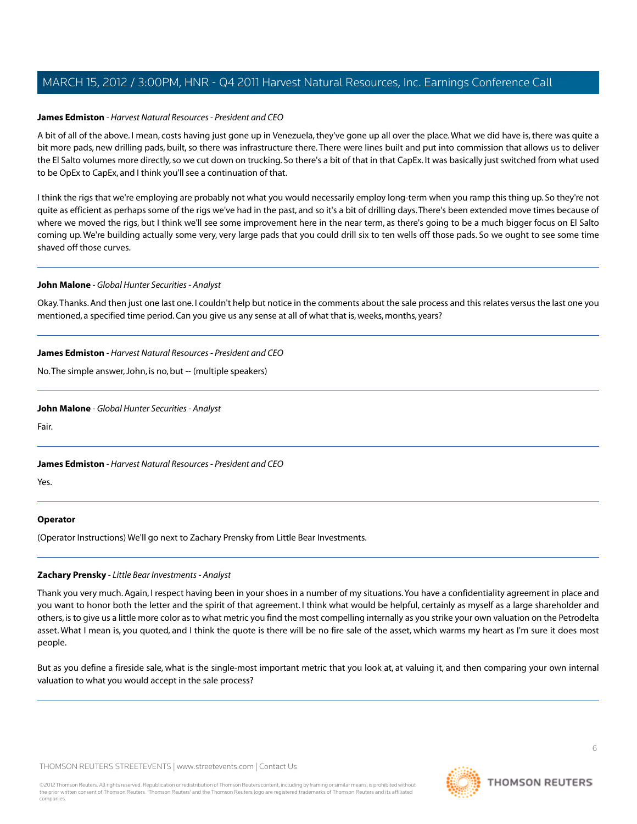### **James Edmiston** *- Harvest Natural Resources - President and CEO*

A bit of all of the above. I mean, costs having just gone up in Venezuela, they've gone up all over the place.What we did have is, there was quite a bit more pads, new drilling pads, built, so there was infrastructure there. There were lines built and put into commission that allows us to deliver the El Salto volumes more directly, so we cut down on trucking. So there's a bit of that in that CapEx. It was basically just switched from what used to be OpEx to CapEx, and I think you'll see a continuation of that.

I think the rigs that we're employing are probably not what you would necessarily employ long-term when you ramp this thing up. So they're not quite as efficient as perhaps some of the rigs we've had in the past, and so it's a bit of drilling days.There's been extended move times because of where we moved the rigs, but I think we'll see some improvement here in the near term, as there's going to be a much bigger focus on El Salto coming up. We're building actually some very, very large pads that you could drill six to ten wells off those pads. So we ought to see some time shaved off those curves.

### **John Malone** *- Global Hunter Securities - Analyst*

Okay.Thanks. And then just one last one. I couldn't help but notice in the comments about the sale process and this relates versus the last one you mentioned, a specified time period. Can you give us any sense at all of what that is, weeks, months, years?

### **James Edmiston** *- Harvest Natural Resources - President and CEO*

No.The simple answer, John, is no, but -- (multiple speakers)

### **John Malone** *- Global Hunter Securities - Analyst*

Fair.

### **James Edmiston** *- Harvest Natural Resources - President and CEO*

Yes.

### <span id="page-5-0"></span>**Operator**

(Operator Instructions) We'll go next to Zachary Prensky from Little Bear Investments.

### **Zachary Prensky** *- Little Bear Investments - Analyst*

Thank you very much. Again, I respect having been in your shoes in a number of my situations.You have a confidentiality agreement in place and you want to honor both the letter and the spirit of that agreement. I think what would be helpful, certainly as myself as a large shareholder and others, is to give us a little more color as to what metric you find the most compelling internally as you strike your own valuation on the Petrodelta asset. What I mean is, you quoted, and I think the quote is there will be no fire sale of the asset, which warms my heart as I'm sure it does most people.

But as you define a fireside sale, what is the single-most important metric that you look at, at valuing it, and then comparing your own internal valuation to what you would accept in the sale process?

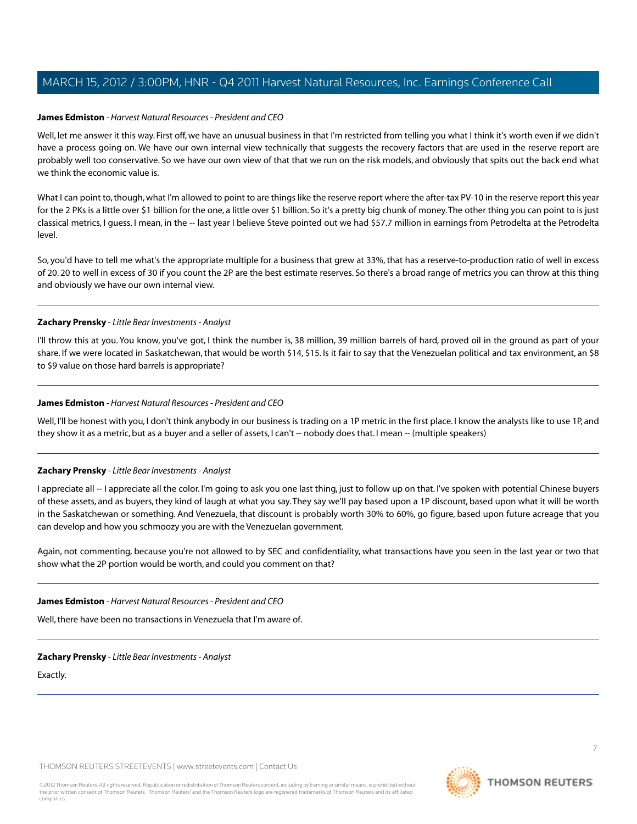### **James Edmiston** *- Harvest Natural Resources - President and CEO*

Well, let me answer it this way. First off, we have an unusual business in that I'm restricted from telling you what I think it's worth even if we didn't have a process going on. We have our own internal view technically that suggests the recovery factors that are used in the reserve report are probably well too conservative. So we have our own view of that that we run on the risk models, and obviously that spits out the back end what we think the economic value is.

What I can point to, though, what I'm allowed to point to are things like the reserve report where the after-tax PV-10 in the reserve report this year for the 2 PKs is a little over \$1 billion for the one, a little over \$1 billion. So it's a pretty big chunk of money.The other thing you can point to is just classical metrics, I guess. I mean, in the -- last year I believe Steve pointed out we had \$57.7 million in earnings from Petrodelta at the Petrodelta level.

So, you'd have to tell me what's the appropriate multiple for a business that grew at 33%, that has a reserve-to-production ratio of well in excess of 20. 20 to well in excess of 30 if you count the 2P are the best estimate reserves. So there's a broad range of metrics you can throw at this thing and obviously we have our own internal view.

### **Zachary Prensky** *- Little Bear Investments - Analyst*

I'll throw this at you. You know, you've got, I think the number is, 38 million, 39 million barrels of hard, proved oil in the ground as part of your share. If we were located in Saskatchewan, that would be worth \$14, \$15. Is it fair to say that the Venezuelan political and tax environment, an \$8 to \$9 value on those hard barrels is appropriate?

### **James Edmiston** *- Harvest Natural Resources - President and CEO*

Well, I'll be honest with you, I don't think anybody in our business is trading on a 1P metric in the first place. I know the analysts like to use 1P, and they show it as a metric, but as a buyer and a seller of assets, I can't -- nobody does that. I mean -- (multiple speakers)

### **Zachary Prensky** *- Little Bear Investments - Analyst*

I appreciate all -- I appreciate all the color. I'm going to ask you one last thing, just to follow up on that. I've spoken with potential Chinese buyers of these assets, and as buyers, they kind of laugh at what you say.They say we'll pay based upon a 1P discount, based upon what it will be worth in the Saskatchewan or something. And Venezuela, that discount is probably worth 30% to 60%, go figure, based upon future acreage that you can develop and how you schmoozy you are with the Venezuelan government.

Again, not commenting, because you're not allowed to by SEC and confidentiality, what transactions have you seen in the last year or two that show what the 2P portion would be worth, and could you comment on that?

**James Edmiston** *- Harvest Natural Resources - President and CEO*

Well, there have been no transactions in Venezuela that I'm aware of.

### **Zachary Prensky** *- Little Bear Investments - Analyst*

Exactly.

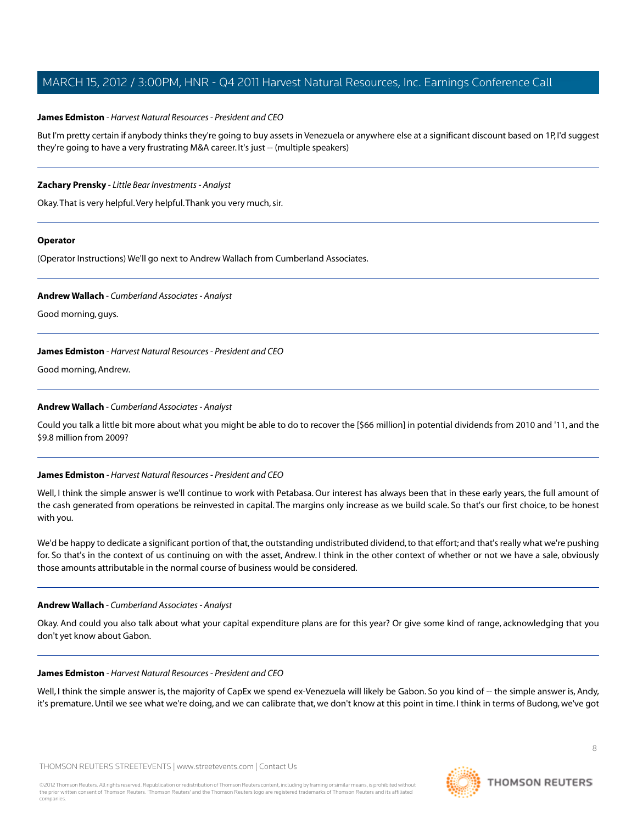### **James Edmiston** *- Harvest Natural Resources - President and CEO*

But I'm pretty certain if anybody thinks they're going to buy assets in Venezuela or anywhere else at a significant discount based on 1P, I'd suggest they're going to have a very frustrating M&A career. It's just -- (multiple speakers)

### **Zachary Prensky** *- Little Bear Investments - Analyst*

Okay.That is very helpful.Very helpful.Thank you very much, sir.

### **Operator**

<span id="page-7-0"></span>(Operator Instructions) We'll go next to Andrew Wallach from Cumberland Associates.

#### **Andrew Wallach** *- Cumberland Associates - Analyst*

Good morning, guys.

### **James Edmiston** *- Harvest Natural Resources - President and CEO*

Good morning, Andrew.

### **Andrew Wallach** *- Cumberland Associates - Analyst*

Could you talk a little bit more about what you might be able to do to recover the [\$66 million] in potential dividends from 2010 and '11, and the \$9.8 million from 2009?

### **James Edmiston** *- Harvest Natural Resources - President and CEO*

Well, I think the simple answer is we'll continue to work with Petabasa. Our interest has always been that in these early years, the full amount of the cash generated from operations be reinvested in capital. The margins only increase as we build scale. So that's our first choice, to be honest with you.

We'd be happy to dedicate a significant portion of that, the outstanding undistributed dividend, to that effort; and that's really what we're pushing for. So that's in the context of us continuing on with the asset, Andrew. I think in the other context of whether or not we have a sale, obviously those amounts attributable in the normal course of business would be considered.

### **Andrew Wallach** *- Cumberland Associates - Analyst*

Okay. And could you also talk about what your capital expenditure plans are for this year? Or give some kind of range, acknowledging that you don't yet know about Gabon.

### **James Edmiston** *- Harvest Natural Resources - President and CEO*

Well, I think the simple answer is, the majority of CapEx we spend ex-Venezuela will likely be Gabon. So you kind of -- the simple answer is, Andy, it's premature. Until we see what we're doing, and we can calibrate that, we don't know at this point in time. I think in terms of Budong, we've got